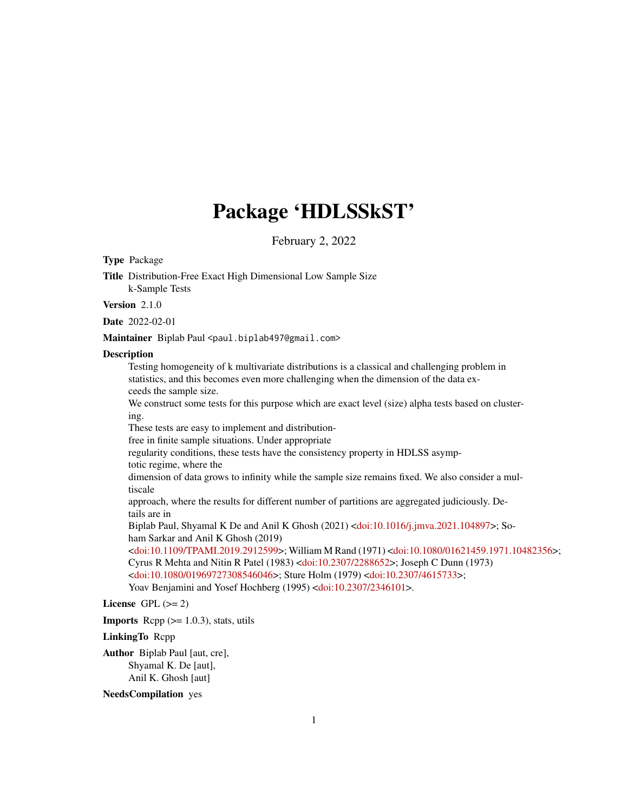# Package 'HDLSSkST'

February 2, 2022

# Type Package

Title Distribution-Free Exact High Dimensional Low Sample Size k-Sample Tests

Version 2.1.0

Date 2022-02-01

Maintainer Biplab Paul <paul.biplab497@gmail.com>

#### **Description**

Testing homogeneity of k multivariate distributions is a classical and challenging problem in statistics, and this becomes even more challenging when the dimension of the data exceeds the sample size.

We construct some tests for this purpose which are exact level (size) alpha tests based on clustering.

These tests are easy to implement and distribution-

free in finite sample situations. Under appropriate

regularity conditions, these tests have the consistency property in HDLSS asymp-

totic regime, where the

dimension of data grows to infinity while the sample size remains fixed. We also consider a multiscale

approach, where the results for different number of partitions are aggregated judiciously. Details are in

Biplab Paul, Shyamal K De and Anil K Ghosh (2021) [<doi:10.1016/j.jmva.2021.104897>](https://doi.org/10.1016/j.jmva.2021.104897); Soham Sarkar and Anil K Ghosh (2019)

[<doi:10.1109/TPAMI.2019.2912599>](https://doi.org/10.1109/TPAMI.2019.2912599); William M Rand (1971) [<doi:10.1080/01621459.1971.10482356>](https://doi.org/10.1080/01621459.1971.10482356); Cyrus R Mehta and Nitin R Patel (1983) [<doi:10.2307/2288652>](https://doi.org/10.2307/2288652); Joseph C Dunn (1973) [<doi:10.1080/01969727308546046>](https://doi.org/10.1080/01969727308546046); Sture Holm (1979) [<doi:10.2307/4615733>](https://doi.org/10.2307/4615733); Yoav Benjamini and Yosef Hochberg (1995) [<doi:10.2307/2346101>](https://doi.org/10.2307/2346101).

# License GPL  $(>= 2)$

**Imports** Rcpp  $(>= 1.0.3)$ , stats, utils

#### LinkingTo Rcpp

Author Biplab Paul [aut, cre], Shyamal K. De [aut], Anil K. Ghosh [aut]

# NeedsCompilation yes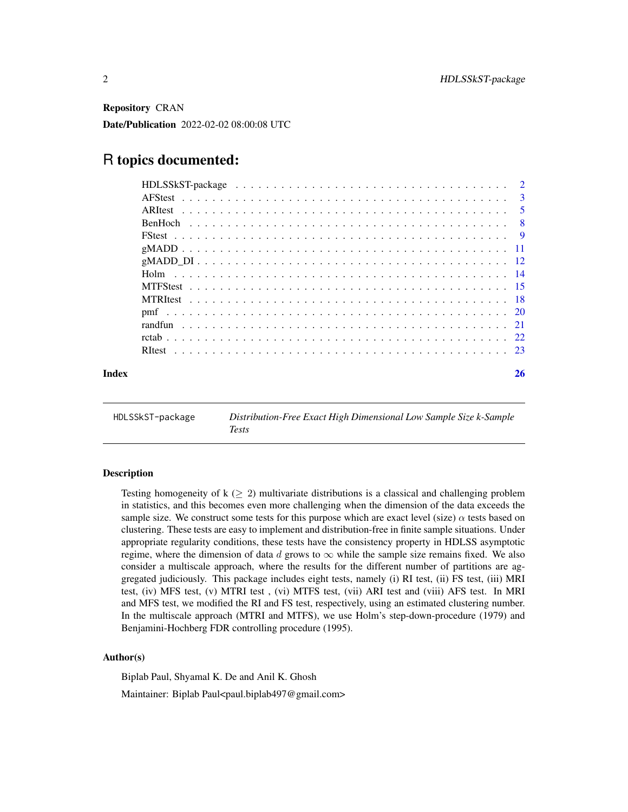<span id="page-1-0"></span>Repository CRAN

Date/Publication 2022-02-02 08:00:08 UTC

# R topics documented:

| Index | 26 |
|-------|----|
|       |    |

HDLSSkST-package *Distribution-Free Exact High Dimensional Low Sample Size k-Sample Tests*

#### Description

Testing homogeneity of  $k \geq 2$ ) multivariate distributions is a classical and challenging problem in statistics, and this becomes even more challenging when the dimension of the data exceeds the sample size. We construct some tests for this purpose which are exact level (size)  $\alpha$  tests based on clustering. These tests are easy to implement and distribution-free in finite sample situations. Under appropriate regularity conditions, these tests have the consistency property in HDLSS asymptotic regime, where the dimension of data d grows to  $\infty$  while the sample size remains fixed. We also consider a multiscale approach, where the results for the different number of partitions are aggregated judiciously. This package includes eight tests, namely (i) RI test, (ii) FS test, (iii) MRI test, (iv) MFS test, (v) MTRI test , (vi) MTFS test, (vii) ARI test and (viii) AFS test. In MRI and MFS test, we modified the RI and FS test, respectively, using an estimated clustering number. In the multiscale approach (MTRI and MTFS), we use Holm's step-down-procedure (1979) and Benjamini-Hochberg FDR controlling procedure (1995).

# Author(s)

Biplab Paul, Shyamal K. De and Anil K. Ghosh Maintainer: Biplab Paul<paul.biplab497@gmail.com>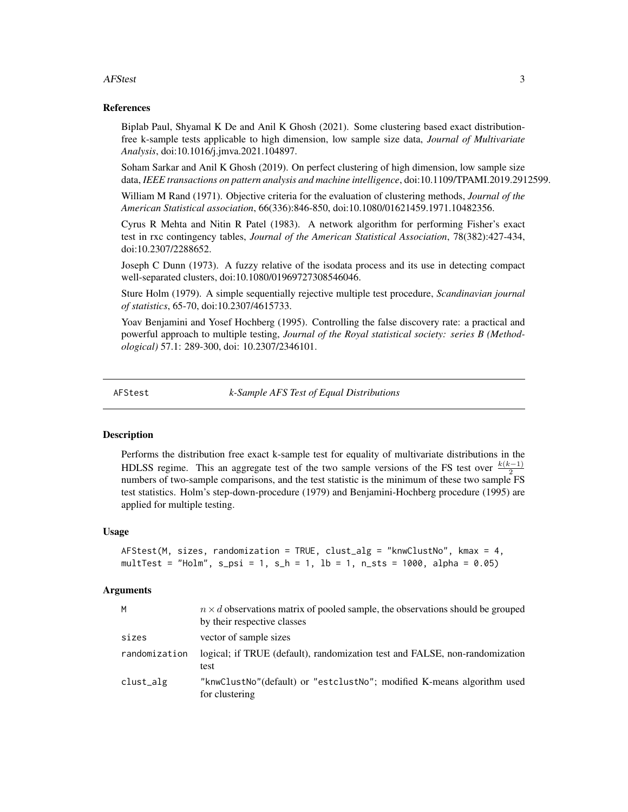#### <span id="page-2-0"></span>AFStest 3

# References

Biplab Paul, Shyamal K De and Anil K Ghosh (2021). Some clustering based exact distributionfree k-sample tests applicable to high dimension, low sample size data, *Journal of Multivariate Analysis*, doi:10.1016/j.jmva.2021.104897.

Soham Sarkar and Anil K Ghosh (2019). On perfect clustering of high dimension, low sample size data, *IEEE transactions on pattern analysis and machine intelligence*, doi:10.1109/TPAMI.2019.2912599.

William M Rand (1971). Objective criteria for the evaluation of clustering methods, *Journal of the American Statistical association*, 66(336):846-850, doi:10.1080/01621459.1971.10482356.

Cyrus R Mehta and Nitin R Patel (1983). A network algorithm for performing Fisher's exact test in rxc contingency tables, *Journal of the American Statistical Association*, 78(382):427-434, doi:10.2307/2288652.

Joseph C Dunn (1973). A fuzzy relative of the isodata process and its use in detecting compact well-separated clusters, doi:10.1080/01969727308546046.

Sture Holm (1979). A simple sequentially rejective multiple test procedure, *Scandinavian journal of statistics*, 65-70, doi:10.2307/4615733.

Yoav Benjamini and Yosef Hochberg (1995). Controlling the false discovery rate: a practical and powerful approach to multiple testing, *Journal of the Royal statistical society: series B (Methodological)* 57.1: 289-300, doi: 10.2307/2346101.

AFStest *k-Sample AFS Test of Equal Distributions*

# Description

Performs the distribution free exact k-sample test for equality of multivariate distributions in the HDLSS regime. This an aggregate test of the two sample versions of the FS test over  $\frac{k(k-1)}{2}$ numbers of two-sample comparisons, and the test statistic is the minimum of these two sample FS test statistics. Holm's step-down-procedure (1979) and Benjamini-Hochberg procedure (1995) are applied for multiple testing.

#### Usage

```
AFStest(M, sizes, randomization = TRUE, clust_alg = "kmwClustNo", kmax = 4,multTest = "Holm", s_{psi} = 1, s_{h} = 1, l_{b} = 1, n_{s}ts = 1000, alpha = 0.05)
```
# Arguments

| M             | $n \times d$ observations matrix of pooled sample, the observations should be grouped<br>by their respective classes |
|---------------|----------------------------------------------------------------------------------------------------------------------|
| sizes         | vector of sample sizes                                                                                               |
| randomization | logical; if TRUE (default), randomization test and FALSE, non-randomization<br>test                                  |
| clust_alg     | "knwClustNo" (default) or "estclustNo"; modified K-means algorithm used<br>for clustering                            |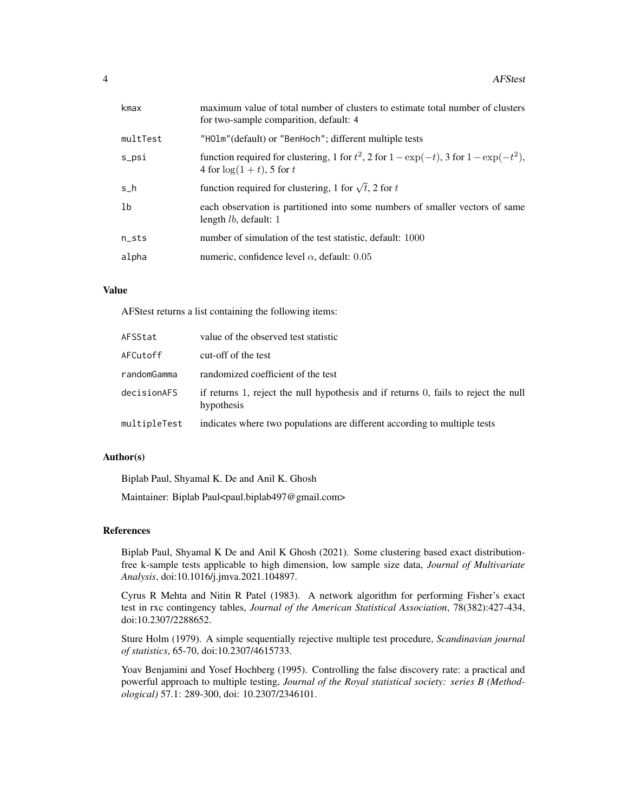| kmax              | maximum value of total number of clusters to estimate total number of clusters<br>for two-sample comparition, default: 4       |
|-------------------|--------------------------------------------------------------------------------------------------------------------------------|
| multTest          | "HOlm" (default) or "BenHoch"; different multiple tests                                                                        |
| s_psi             | function required for clustering, 1 for $t^2$ , 2 for $1 - \exp(-t)$ , 3 for $1 - \exp(-t^2)$ ,<br>4 for $\log(1+t)$ , 5 for t |
| s_h               | function required for clustering, 1 for $\sqrt{t}$ , 2 for t                                                                   |
| 1b                | each observation is partitioned into some numbers of smaller vectors of same<br>length $lb$ , default: 1                       |
| $n_{\text{-}sts}$ | number of simulation of the test statistic, default: 1000                                                                      |
| alpha             | numeric, confidence level $\alpha$ , default: 0.05                                                                             |
|                   |                                                                                                                                |

# Value

AFStest returns a list containing the following items:

| AFSStat      | value of the observed test statistic                                                              |
|--------------|---------------------------------------------------------------------------------------------------|
| AFCutoff     | cut-off of the test                                                                               |
| randomGamma  | randomized coefficient of the test                                                                |
| decisionAFS  | if returns 1, reject the null hypothesis and if returns 0, fails to reject the null<br>hypothesis |
| multipleTest | indicates where two populations are different according to multiple tests                         |

# Author(s)

Biplab Paul, Shyamal K. De and Anil K. Ghosh

Maintainer: Biplab Paul<paul.biplab497@gmail.com>

# References

Biplab Paul, Shyamal K De and Anil K Ghosh (2021). Some clustering based exact distributionfree k-sample tests applicable to high dimension, low sample size data, *Journal of Multivariate Analysis*, doi:10.1016/j.jmva.2021.104897.

Cyrus R Mehta and Nitin R Patel (1983). A network algorithm for performing Fisher's exact test in rxc contingency tables, *Journal of the American Statistical Association*, 78(382):427-434, doi:10.2307/2288652.

Sture Holm (1979). A simple sequentially rejective multiple test procedure, *Scandinavian journal of statistics*, 65-70, doi:10.2307/4615733.

Yoav Benjamini and Yosef Hochberg (1995). Controlling the false discovery rate: a practical and powerful approach to multiple testing, *Journal of the Royal statistical society: series B (Methodological)* 57.1: 289-300, doi: 10.2307/2346101.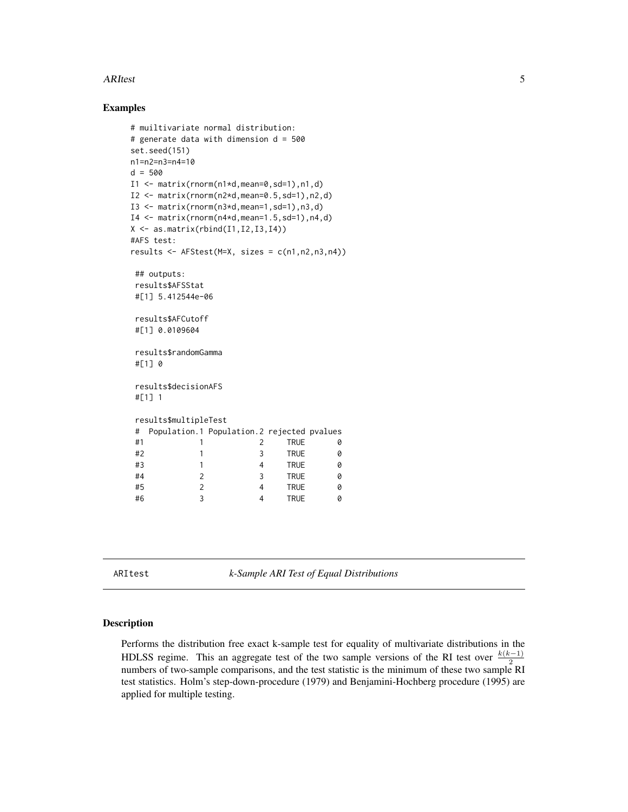#### <span id="page-4-0"></span>ARItest 5

# Examples

```
# muiltivariate normal distribution:
# generate data with dimension d = 500
set.seed(151)
n1=n2=n3=n4=10
d = 500I1 \leftarrow matrix(rnorm(n1*d,mean=0, sd=1), n1, d)I2 \leq - matrix(rnorm(n2*d,mean=0.5,sd=1),n2,d)
I3 \leq matrix(rnorm(n3*d,mean=1,sd=1),n3,d)
I4 \leftarrow matrix(rnorm(n4*d,mean=1.5,sd=1),n4,d)X \leftarrow \text{as_matrix}(\text{rbind}(I1, I2, I3, I4))#AFS test:
results <- AFStest(M=X, sizes = c(n1,n2,n3,n4))
## outputs:
results$AFSStat
#[1] 5.412544e-06
results$AFCutoff
#[1] 0.0109604
results$randomGamma
#[1] 0
results$decisionAFS
#[1] 1
results$multipleTest
# Population.1 Population.2 rejected pvalues
#1 1 2 TRUE 0
 #2 1 3 TRUE 0
 #3 1 4 TRUE 0
 #4 2 3 TRUE 0
 #5 2 4 TRUE 0
 #6 3 4 TRUE 0
```
ARItest *k-Sample ARI Test of Equal Distributions*

#### Description

Performs the distribution free exact k-sample test for equality of multivariate distributions in the HDLSS regime. This an aggregate test of the two sample versions of the RI test over  $\frac{k(k-1)}{2}$ numbers of two-sample comparisons, and the test statistic is the minimum of these two sample RI test statistics. Holm's step-down-procedure (1979) and Benjamini-Hochberg procedure (1995) are applied for multiple testing.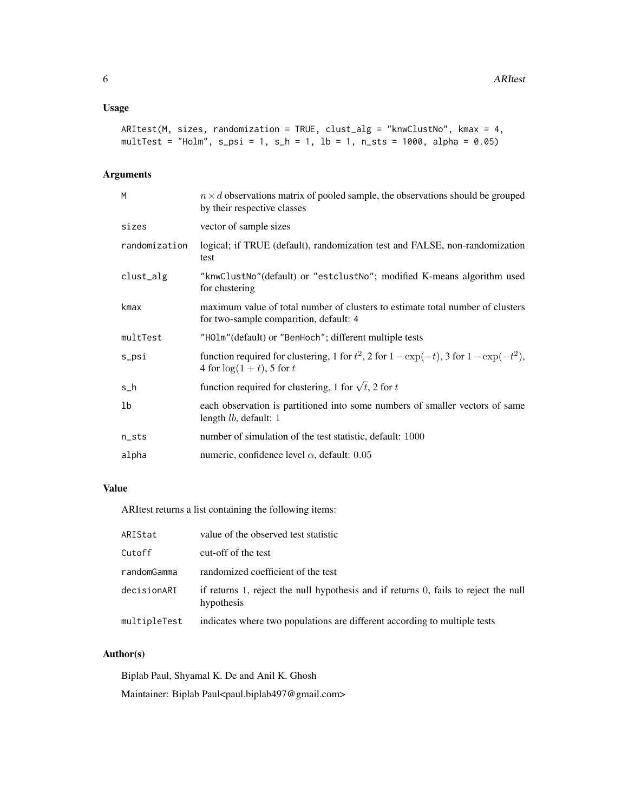# Usage

```
ARItest(M, sizes, randomization = TRUE, clust_alg = "knwClustNo", kmax = 4,
multTest = "Holm", s_{psi} = 1, s_{h} = 1, lb = 1, n_{sts} = 1000, alpha = 0.05)
```
# Arguments

| M             | $n \times d$ observations matrix of pooled sample, the observations should be grouped<br>by their respective classes           |
|---------------|--------------------------------------------------------------------------------------------------------------------------------|
| sizes         | vector of sample sizes                                                                                                         |
| randomization | logical; if TRUE (default), randomization test and FALSE, non-randomization<br>test                                            |
| clust_alg     | "knwClustNo" (default) or "estclustNo"; modified K-means algorithm used<br>for clustering                                      |
| kmax          | maximum value of total number of clusters to estimate total number of clusters<br>for two-sample comparition, default: 4       |
| multTest      | "HOlm" (default) or "BenHoch"; different multiple tests                                                                        |
| s_psi         | function required for clustering, 1 for $t^2$ , 2 for $1 - \exp(-t)$ , 3 for $1 - \exp(-t^2)$ ,<br>4 for $\log(1+t)$ , 5 for t |
| $s_h$         | function required for clustering, 1 for $\sqrt{t}$ , 2 for t                                                                   |
| 1b            | each observation is partitioned into some numbers of smaller vectors of same<br>length $lb$ , default: 1                       |
| $n\_sts$      | number of simulation of the test statistic, default: 1000                                                                      |
| alpha         | numeric, confidence level $\alpha$ , default: 0.05                                                                             |
|               |                                                                                                                                |

# Value

ARItest returns a list containing the following items:

| ARIStat      | value of the observed test statistic                                                              |
|--------------|---------------------------------------------------------------------------------------------------|
| Cutoff       | cut-off of the test                                                                               |
| randomGamma  | randomized coefficient of the test                                                                |
| decisionARI  | if returns 1, reject the null hypothesis and if returns 0, fails to reject the null<br>hypothesis |
| multipleTest | indicates where two populations are different according to multiple tests                         |

# Author(s)

Biplab Paul, Shyamal K. De and Anil K. Ghosh Maintainer: Biplab Paul<paul.biplab497@gmail.com>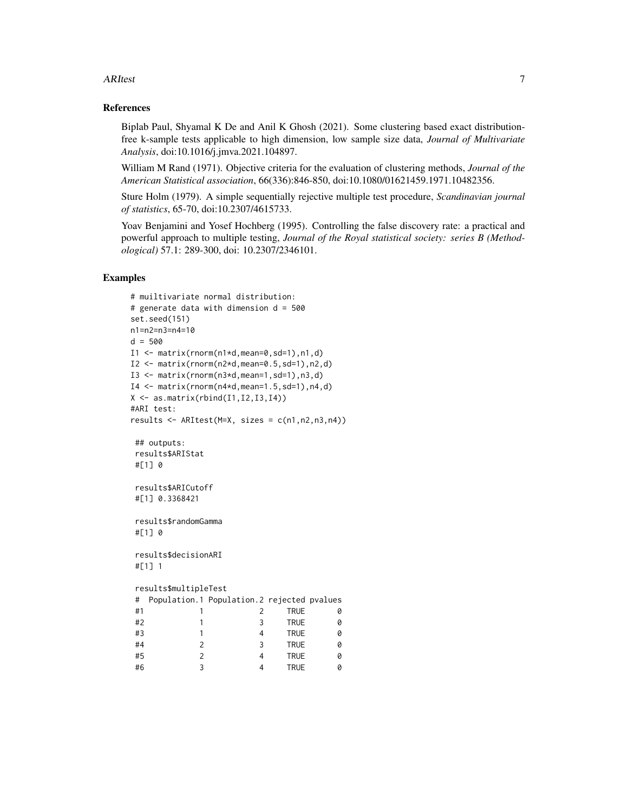#### ARItest 7

# References

Biplab Paul, Shyamal K De and Anil K Ghosh (2021). Some clustering based exact distributionfree k-sample tests applicable to high dimension, low sample size data, *Journal of Multivariate Analysis*, doi:10.1016/j.jmva.2021.104897.

William M Rand (1971). Objective criteria for the evaluation of clustering methods, *Journal of the American Statistical association*, 66(336):846-850, doi:10.1080/01621459.1971.10482356.

Sture Holm (1979). A simple sequentially rejective multiple test procedure, *Scandinavian journal of statistics*, 65-70, doi:10.2307/4615733.

Yoav Benjamini and Yosef Hochberg (1995). Controlling the false discovery rate: a practical and powerful approach to multiple testing, *Journal of the Royal statistical society: series B (Methodological)* 57.1: 289-300, doi: 10.2307/2346101.

```
# muiltivariate normal distribution:
# generate data with dimension d = 500
set.seed(151)
n1=n2=n3=n4=10
d = 500I1 \leftarrow matrix(rnorm(n1*d,mean=0, sd=1),n1,d)I2 \leq matrix(rnorm(n2*d,mean=0.5,sd=1),n2,d)
I3 \leq matrix(rnorm(n3*d,mean=1,sd=1),n3,d)
I4 \leftarrow matrix(rnorm(n4*d,mean=1.5,sd=1),n4,d)X \leftarrow \text{as_matrix}(\text{rbind}(I1, I2, I3, I4))#ARI test:
results <- ARItest(M=X, sizes = c(n1,n2,n3,n4))
## outputs:
results$ARIStat
#[1] 0
results$ARICutoff
#[1] 0.3368421
results$randomGamma
#[1] 0
results$decisionARI
#[1] 1
results$multipleTest
# Population.1 Population.2 rejected pvalues
#1 1 2 TRUE 0
 #2 1 3 TRUE 0
 #3 1 4 TRUE 0
 #4 2 3 TRUE 0
 #5 2 4 TRUE 0
 #6 3 4 TRUE 0
```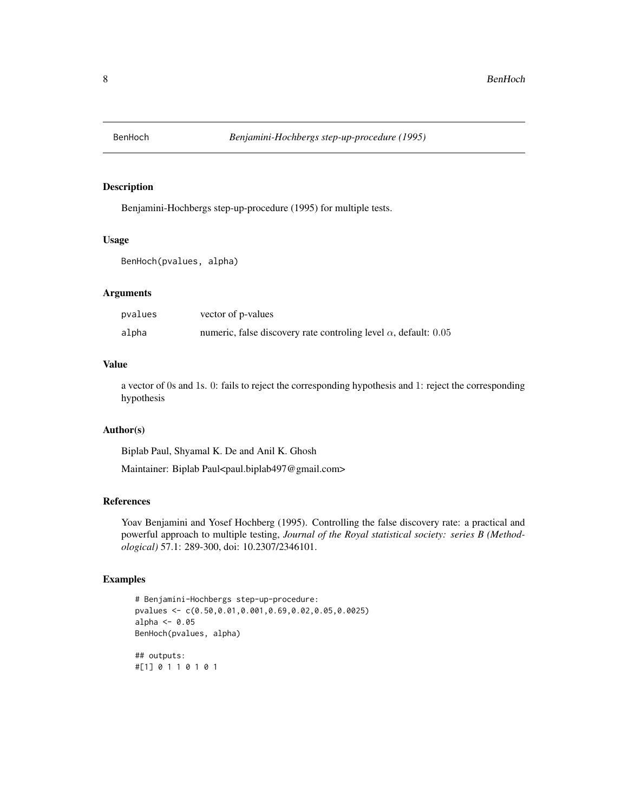<span id="page-7-0"></span>

# Description

Benjamini-Hochbergs step-up-procedure (1995) for multiple tests.

### Usage

BenHoch(pvalues, alpha)

# Arguments

| pvalues | vector of p-values                                                       |
|---------|--------------------------------------------------------------------------|
| alpha   | numeric, false discovery rate controlling level $\alpha$ , default: 0.05 |

#### Value

a vector of 0s and 1s. 0: fails to reject the corresponding hypothesis and 1: reject the corresponding hypothesis

# Author(s)

Biplab Paul, Shyamal K. De and Anil K. Ghosh

Maintainer: Biplab Paul<paul.biplab497@gmail.com>

# References

Yoav Benjamini and Yosef Hochberg (1995). Controlling the false discovery rate: a practical and powerful approach to multiple testing, *Journal of the Royal statistical society: series B (Methodological)* 57.1: 289-300, doi: 10.2307/2346101.

```
# Benjamini-Hochbergs step-up-procedure:
pvalues <- c(0.50,0.01,0.001,0.69,0.02,0.05,0.0025)
alpha <-0.05BenHoch(pvalues, alpha)
## outputs:
#[1] 0 1 1 0 1 0 1
```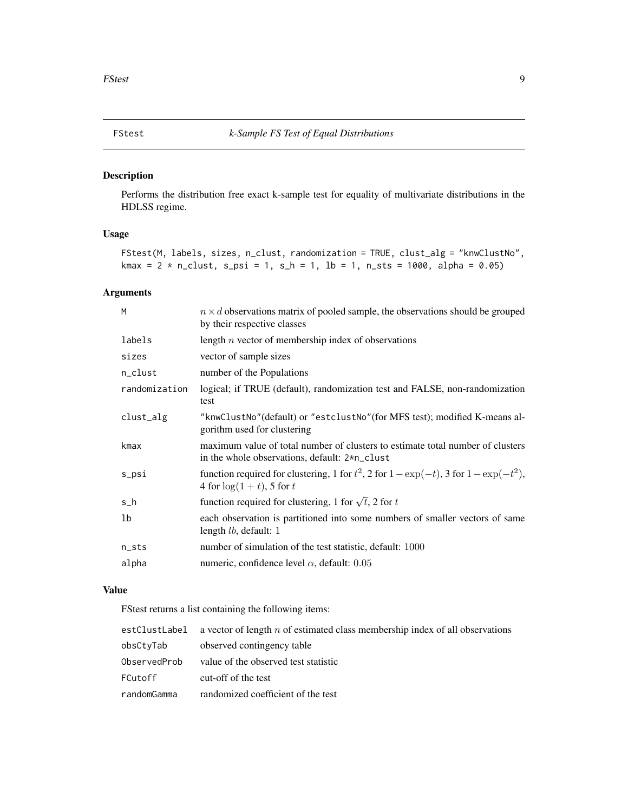<span id="page-8-0"></span>

# Description

Performs the distribution free exact k-sample test for equality of multivariate distributions in the HDLSS regime.

# Usage

```
FStest(M, labels, sizes, n_clust, randomization = TRUE, clust_alg = "knwClustNo",
kmax = 2 * n_{clust}, s_{psi} = 1, s_{h} = 1, lb = 1, n_{sts} = 1000, alpha = 0.05)
```
# Arguments

| M             | $n \times d$ observations matrix of pooled sample, the observations should be grouped<br>by their respective classes            |
|---------------|---------------------------------------------------------------------------------------------------------------------------------|
| labels        | length $n$ vector of membership index of observations                                                                           |
| sizes         | vector of sample sizes                                                                                                          |
| n_clust       | number of the Populations                                                                                                       |
| randomization | logical; if TRUE (default), randomization test and FALSE, non-randomization<br>test                                             |
| clust_alg     | "knwClustNo" (default) or "estclustNo" (for MFS test); modified K-means al-<br>gorithm used for clustering                      |
| kmax          | maximum value of total number of clusters to estimate total number of clusters<br>in the whole observations, default: 2*n_clust |
| s_psi         | function required for clustering, 1 for $t^2$ , 2 for $1 - \exp(-t)$ , 3 for $1 - \exp(-t^2)$ ,<br>4 for $\log(1+t)$ , 5 for t  |
| s_h           | function required for clustering, 1 for $\sqrt{t}$ , 2 for t                                                                    |
| 1b            | each observation is partitioned into some numbers of smaller vectors of same<br>length <i>lb</i> , default: 1                   |
| n_sts         | number of simulation of the test statistic, default: 1000                                                                       |
| alpha         | numeric, confidence level $\alpha$ , default: 0.05                                                                              |
|               |                                                                                                                                 |

### Value

FStest returns a list containing the following items:

| estClustLabel | a vector of length $n$ of estimated class membership index of all observations |
|---------------|--------------------------------------------------------------------------------|
| obsCtyTab     | observed contingency table                                                     |
| ObservedProb  | value of the observed test statistic                                           |
| FCutoff       | cut-off of the test                                                            |
| randomGamma   | randomized coefficient of the test                                             |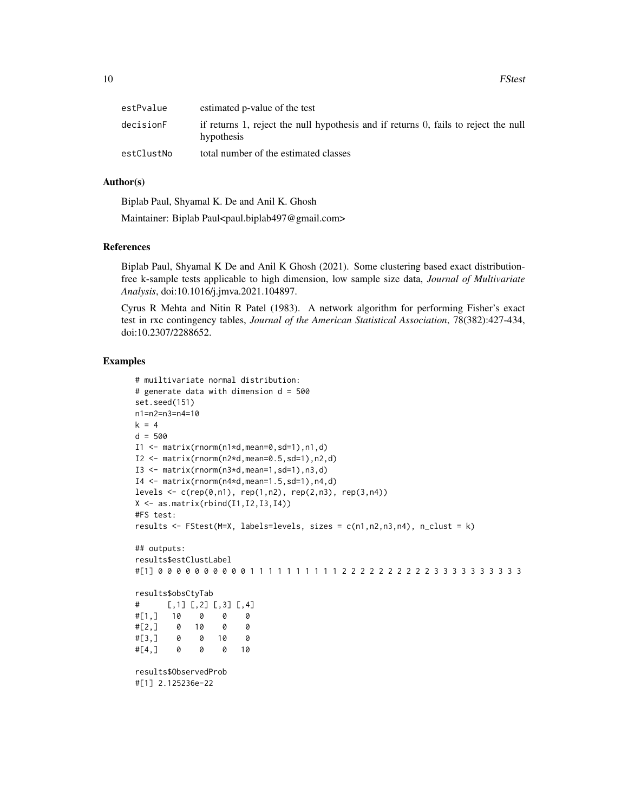| estPvalue  | estimated p-value of the test                                                                     |
|------------|---------------------------------------------------------------------------------------------------|
| decisionF  | if returns 1, reject the null hypothesis and if returns 0, fails to reject the null<br>hypothesis |
| estClustNo | total number of the estimated classes                                                             |

# Author(s)

Biplab Paul, Shyamal K. De and Anil K. Ghosh

Maintainer: Biplab Paul<paul.biplab497@gmail.com>

# References

Biplab Paul, Shyamal K De and Anil K Ghosh (2021). Some clustering based exact distributionfree k-sample tests applicable to high dimension, low sample size data, *Journal of Multivariate Analysis*, doi:10.1016/j.jmva.2021.104897.

Cyrus R Mehta and Nitin R Patel (1983). A network algorithm for performing Fisher's exact test in rxc contingency tables, *Journal of the American Statistical Association*, 78(382):427-434, doi:10.2307/2288652.

```
# muiltivariate normal distribution:
# generate data with dimension d = 500
set.seed(151)
n1=n2=n3=n4=10
k = 4d = 500I1 <- matrix(rnorm(n1*d,mean=0,sd=1),n1,d)
I2 \leq -\text{matrix}(rnorm(n2*d,mean=0.5, sd=1),n2,d)I3 \leq matrix(rnorm(n3*d,mean=1,sd=1),n3,d)
I4 \leftarrow matrix(rnorm(n4*d,mean=1.5,sd=1),n4,d)levels \leq c (rep(0,n1), rep(1,n2), rep(2,n3), rep(3,n4))
X \leftarrow \text{as_matrix}(\text{rbind}(I1, I2, I3, I4))#FS test:
results <- FStest(M=X, labels=levels, sizes = c(n1,n2,n3,n4), n_clust = k)
## outputs:
results$estClustLabel
#[1] 0 0 0 0 0 0 0 0 0 0 1 1 1 1 1 1 1 1 1 1 2 2 2 2 2 2 2 2 2 2 3 3 3 3 3 3 3 3 3 3
results$obsCtyTab
# [,1] [,2] [,3] [,4]
#[1,] 10 0 0 0
#[2,] 0 10 0 0
#[3,] 0 0 10 0
#[4,] 0 0 0 10
results$ObservedProb
#[1] 2.125236e-22
```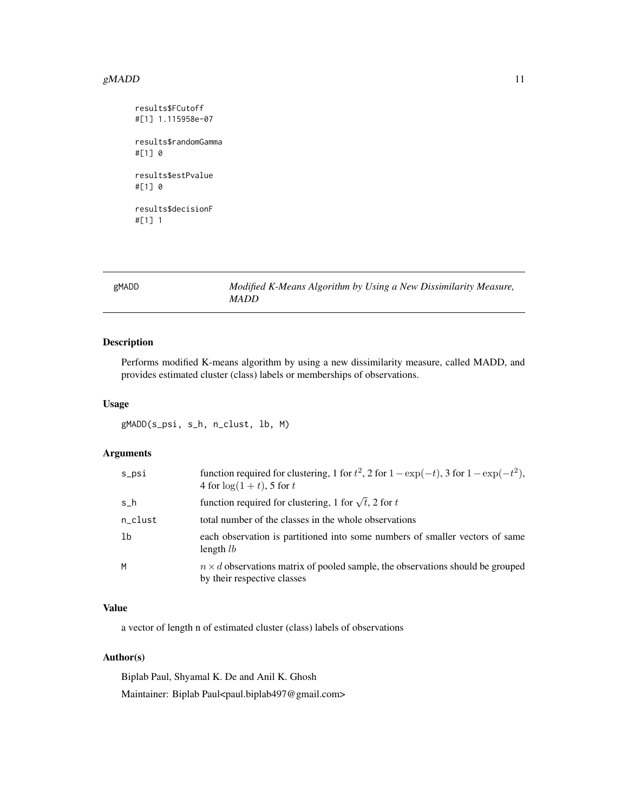#### <span id="page-10-0"></span> $gMADD$  11

```
results$FCutoff
#[1] 1.115958e-07
results$randomGamma
#[1] 0
results$estPvalue
#[1] 0
results$decisionF
#[1] 1
```
gMADD *Modified K-Means Algorithm by Using a New Dissimilarity Measure, MADD*

# Description

Performs modified K-means algorithm by using a new dissimilarity measure, called MADD, and provides estimated cluster (class) labels or memberships of observations.

# Usage

gMADD(s\_psi, s\_h, n\_clust, lb, M)

# Arguments

| s_psi   | function required for clustering, 1 for $t^2$ , 2 for $1 - \exp(-t)$ , 3 for $1 - \exp(-t^2)$ ,<br>4 for $\log(1+t)$ , 5 for t |
|---------|--------------------------------------------------------------------------------------------------------------------------------|
| s h     | function required for clustering, 1 for $\sqrt{t}$ , 2 for t                                                                   |
| n_clust | total number of the classes in the whole observations                                                                          |
| 1b      | each observation is partitioned into some numbers of smaller vectors of same<br>length $lb$                                    |
| M       | $n \times d$ observations matrix of pooled sample, the observations should be grouped<br>by their respective classes           |

# Value

a vector of length n of estimated cluster (class) labels of observations

# Author(s)

Biplab Paul, Shyamal K. De and Anil K. Ghosh Maintainer: Biplab Paul<paul.biplab497@gmail.com>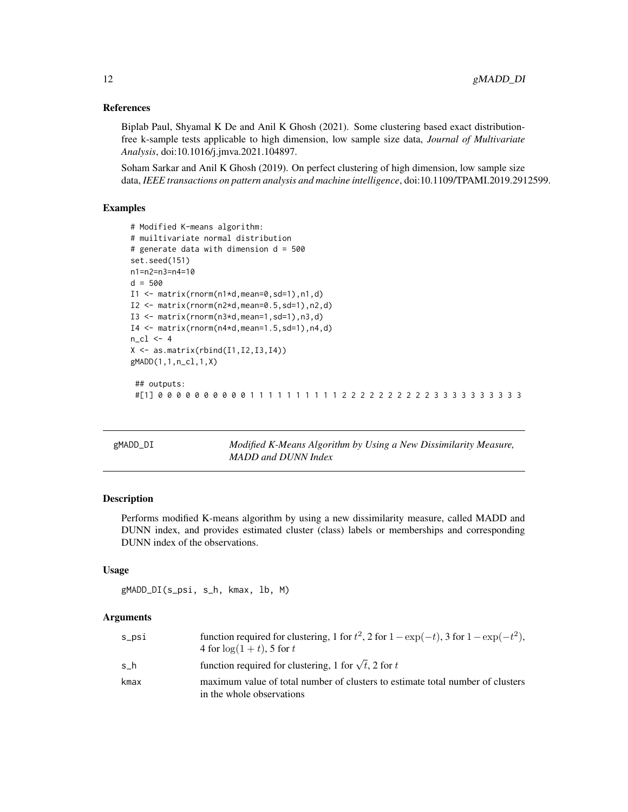# References

Biplab Paul, Shyamal K De and Anil K Ghosh (2021). Some clustering based exact distributionfree k-sample tests applicable to high dimension, low sample size data, *Journal of Multivariate Analysis*, doi:10.1016/j.jmva.2021.104897.

Soham Sarkar and Anil K Ghosh (2019). On perfect clustering of high dimension, low sample size data, *IEEE transactions on pattern analysis and machine intelligence*, doi:10.1109/TPAMI.2019.2912599.

# Examples

```
# Modified K-means algorithm:
# muiltivariate normal distribution
# generate data with dimension d = 500
set.seed(151)
n1=n2=n3=n4=10
d = 500I1 \leftarrow matrix(rnorm(n1*d,mean=0, sd=1),n1,d)I2 \leq matrix(rnorm(n2*d,mean=0.5,sd=1),n2,d)
I3 \leq matrix(rnorm(n3*d,mean=1,sd=1),n3,d)
I4 \leftarrow matrix(rnorm(n4*d,mean=1.5,sd=1),n4,d)n_cl <- 4
X \leftarrow \text{as_matrix}(\text{rbind}(I1, I2, I3, I4))gMADD(1,1,n_cl,1,X)
 ## outputs:
```
#[1] 0 0 0 0 0 0 0 0 0 0 1 1 1 1 1 1 1 1 1 1 2 2 2 2 2 2 2 2 2 2 3 3 3 3 3 3 3 3 3 3

gMADD\_DI *Modified K-Means Algorithm by Using a New Dissimilarity Measure, MADD and DUNN Index*

# Description

Performs modified K-means algorithm by using a new dissimilarity measure, called MADD and DUNN index, and provides estimated cluster (class) labels or memberships and corresponding DUNN index of the observations.

#### Usage

```
gMADD_DI(s_psi, s_h, kmax, lb, M)
```
# **Arguments**

| s_psi | function required for clustering, 1 for $t^2$ , 2 for $1 - \exp(-t)$ , 3 for $1 - \exp(-t^2)$ ,<br>4 for $\log(1+t)$ , 5 for t |
|-------|--------------------------------------------------------------------------------------------------------------------------------|
| s h   | function required for clustering, 1 for $\sqrt{t}$ , 2 for t                                                                   |
| kmax  | maximum value of total number of clusters to estimate total number of clusters<br>in the whole observations                    |

<span id="page-11-0"></span>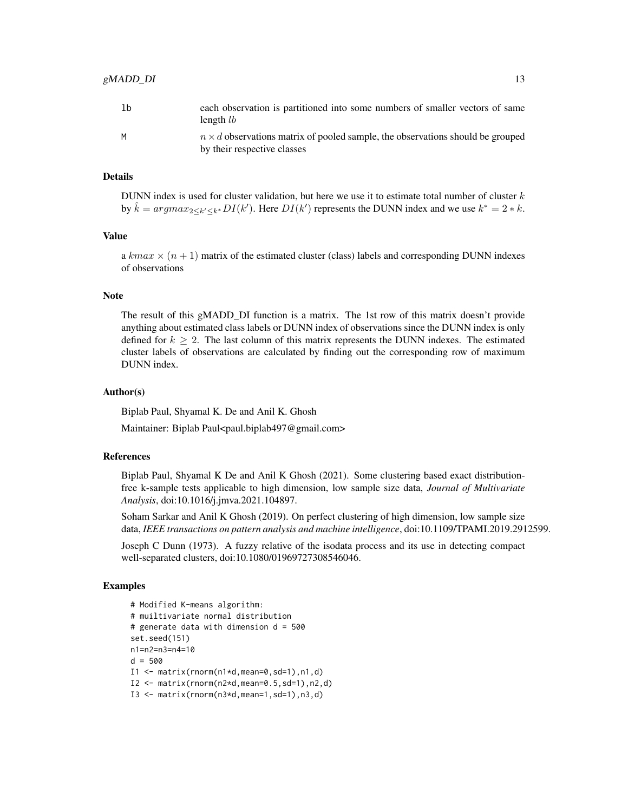| $n \times d$ observations matrix of pooled sample, the observations should be grouped<br>by their respective classes |
|----------------------------------------------------------------------------------------------------------------------|
|                                                                                                                      |

# Details

DUNN index is used for cluster validation, but here we use it to estimate total number of cluster  $k$ by  $\hat{k} = argmax_{2 \le k' \le k^*} DI(k')$ . Here  $DI(k')$  represents the DUNN index and we use  $k^* = 2 * k$ .

# Value

a  $kmax \times (n+1)$  matrix of the estimated cluster (class) labels and corresponding DUNN indexes of observations

#### **Note**

The result of this gMADD\_DI function is a matrix. The 1st row of this matrix doesn't provide anything about estimated class labels or DUNN index of observations since the DUNN index is only defined for  $k \geq 2$ . The last column of this matrix represents the DUNN indexes. The estimated cluster labels of observations are calculated by finding out the corresponding row of maximum DUNN index.

#### Author(s)

Biplab Paul, Shyamal K. De and Anil K. Ghosh

Maintainer: Biplab Paul<paul.biplab497@gmail.com>

# References

Biplab Paul, Shyamal K De and Anil K Ghosh (2021). Some clustering based exact distributionfree k-sample tests applicable to high dimension, low sample size data, *Journal of Multivariate Analysis*, doi:10.1016/j.jmva.2021.104897.

Soham Sarkar and Anil K Ghosh (2019). On perfect clustering of high dimension, low sample size data, *IEEE transactions on pattern analysis and machine intelligence*, doi:10.1109/TPAMI.2019.2912599.

Joseph C Dunn (1973). A fuzzy relative of the isodata process and its use in detecting compact well-separated clusters, doi:10.1080/01969727308546046.

```
# Modified K-means algorithm:
# muiltivariate normal distribution
# generate data with dimension d = 500
set.seed(151)
n1=n2=n3=n4=10
d = 500I1 \leftarrow matrix(rnorm(n1*d,mean=0, sd=1),n1,d)I2 \leq matrix(rnorm(n2*d,mean=0.5,sd=1),n2,d)
I3 \leq matrix(rnorm(n3*d,mean=1,sd=1),n3,d)
```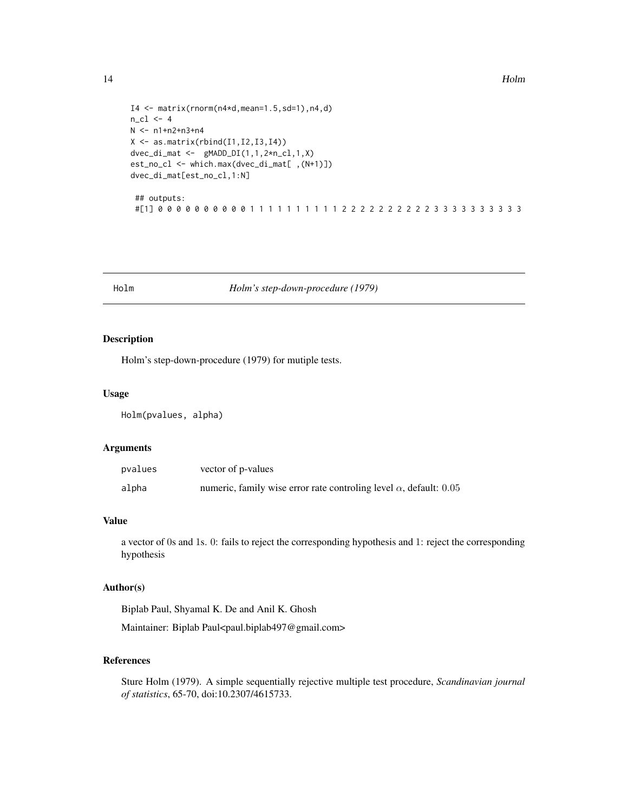```
I4 \leftarrow matrix(rnorm(n4*d,mean=1.5,sd=1),n4,d)N <- n1+n2+n3+n4
X \leftarrow \text{as_matrix}(\text{rbind}(I1, I2, I3, I4))dvec\_dimat \leftarrow gMADD_DI(1,1,2*n\_cl,1,X)est_no_cl <- which.max(dvec_di_mat[ ,(N+1)])
dvec_di_mat[est_no_cl,1:N]
```

```
## outputs:
#[1] 0 0 0 0 0 0 0 0 0 0 1 1 1 1 1 1 1 1 1 1 2 2 2 2 2 2 2 2 2 2 3 3 3 3 3 3 3 3 3 3
```
Holm *Holm's step-down-procedure (1979)*

# Description

Holm's step-down-procedure (1979) for mutiple tests.

# Usage

Holm(pvalues, alpha)

#### Arguments

| pvalues | vector of p-values                                                        |
|---------|---------------------------------------------------------------------------|
| alpha   | numeric, family wise error rate controling level $\alpha$ , default: 0.05 |

# Value

a vector of 0s and 1s. 0: fails to reject the corresponding hypothesis and 1: reject the corresponding hypothesis

# Author(s)

Biplab Paul, Shyamal K. De and Anil K. Ghosh

Maintainer: Biplab Paul<paul.biplab497@gmail.com>

# References

Sture Holm (1979). A simple sequentially rejective multiple test procedure, *Scandinavian journal of statistics*, 65-70, doi:10.2307/4615733.

<span id="page-13-0"></span>14 Holm

 $n_cl$   $<-$  4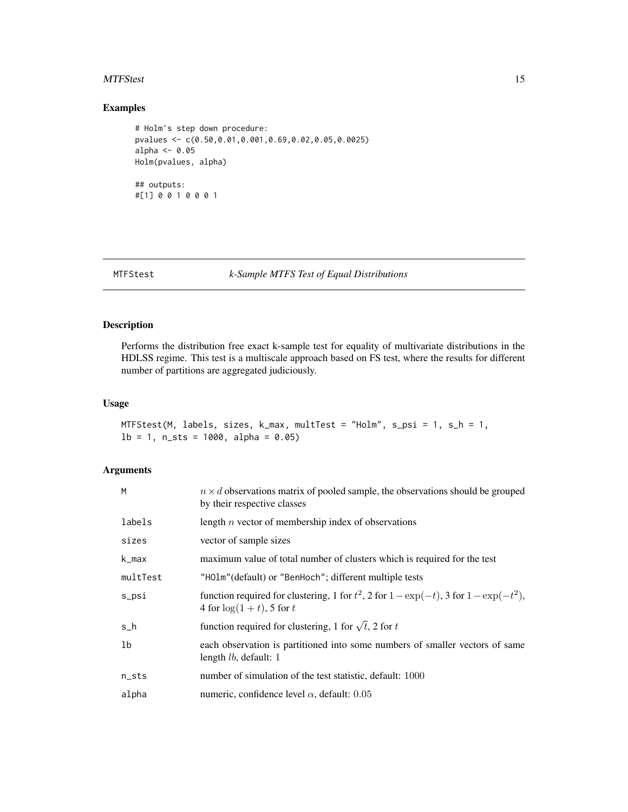#### <span id="page-14-0"></span>MTFStest 15

# Examples

```
# Holm's step down procedure:
pvalues <- c(0.50,0.01,0.001,0.69,0.02,0.05,0.0025)
alpha <- 0.05
Holm(pvalues, alpha)
## outputs:
#[1] 0 0 1 0 0 0 1
```
# MTFStest *k-Sample MTFS Test of Equal Distributions*

# Description

Performs the distribution free exact k-sample test for equality of multivariate distributions in the HDLSS regime. This test is a multiscale approach based on FS test, where the results for different number of partitions are aggregated judiciously.

#### Usage

```
MTFStest(M, labels, sizes, k_max, multTest = "Holm", s_psi = 1, s_h = 1,
1b = 1, n_sts = 1000, alpha = 0.05)
```
# Arguments

| M               | $n \times d$ observations matrix of pooled sample, the observations should be grouped<br>by their respective classes           |
|-----------------|--------------------------------------------------------------------------------------------------------------------------------|
| labels          | length $n$ vector of membership index of observations                                                                          |
| sizes           | vector of sample sizes                                                                                                         |
| k_max           | maximum value of total number of clusters which is required for the test                                                       |
| multTest        | "HOlm" (default) or "BenHoch"; different multiple tests                                                                        |
| s_psi           | function required for clustering, 1 for $t^2$ , 2 for $1 - \exp(-t)$ , 3 for $1 - \exp(-t^2)$ ,<br>4 for $\log(1+t)$ , 5 for t |
| $s_h$           | function required for clustering, 1 for $\sqrt{t}$ , 2 for t                                                                   |
| 1b              | each observation is partitioned into some numbers of smaller vectors of same<br>length $lb$ , default: 1                       |
| $n_{\rm -}$ sts | number of simulation of the test statistic, default: 1000                                                                      |
| alpha           | numeric, confidence level $\alpha$ , default: 0.05                                                                             |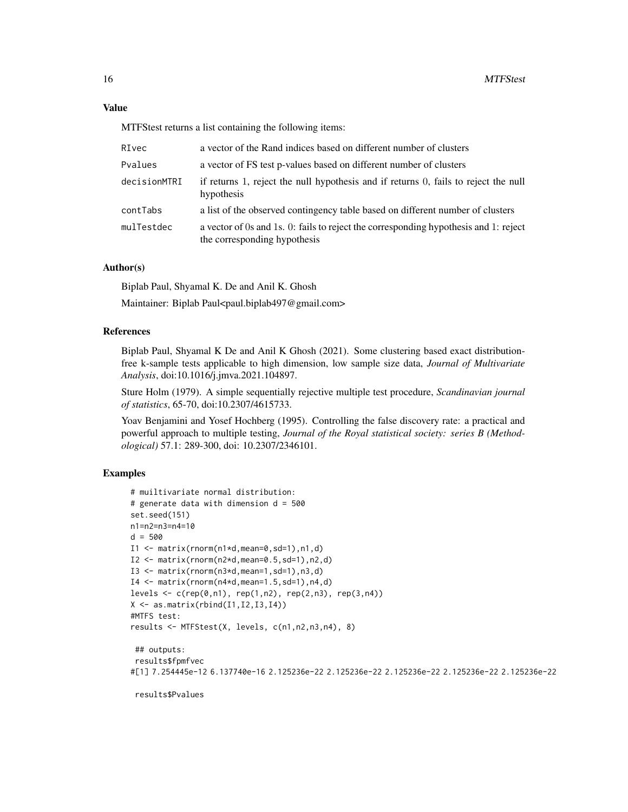MTFStest returns a list containing the following items:

| RIvec        | a vector of the Rand indices based on different number of clusters                                                   |
|--------------|----------------------------------------------------------------------------------------------------------------------|
| Pvalues      | a vector of FS test p-values based on different number of clusters                                                   |
| decisionMTRI | if returns 1, reject the null hypothesis and if returns 0, fails to reject the null<br>hypothesis                    |
| contTabs     | a list of the observed contingency table based on different number of clusters                                       |
| mulTestdec   | a vector of 0s and 1s. 0: fails to reject the corresponding hypothesis and 1: reject<br>the corresponding hypothesis |

# Author(s)

Biplab Paul, Shyamal K. De and Anil K. Ghosh

Maintainer: Biplab Paul<paul.biplab497@gmail.com>

# **References**

Biplab Paul, Shyamal K De and Anil K Ghosh (2021). Some clustering based exact distributionfree k-sample tests applicable to high dimension, low sample size data, *Journal of Multivariate Analysis*, doi:10.1016/j.jmva.2021.104897.

Sture Holm (1979). A simple sequentially rejective multiple test procedure, *Scandinavian journal of statistics*, 65-70, doi:10.2307/4615733.

Yoav Benjamini and Yosef Hochberg (1995). Controlling the false discovery rate: a practical and powerful approach to multiple testing, *Journal of the Royal statistical society: series B (Methodological)* 57.1: 289-300, doi: 10.2307/2346101.

# Examples

```
# muiltivariate normal distribution:
# generate data with dimension d = 500
set.seed(151)
n1=n2=n3=n4=10
d = 500I1 \leftarrow matrix(rnorm(n1*d,mean=0, sd=1), n1, d)I2 \leq - matrix(rnorm(n2*d,mean=0.5,sd=1),n2,d)
I3 \leq matrix(rnorm(n3*d,mean=1,sd=1),n3,d)
I4 \leq matrix(rnorm(n4*d,mean=1.5,sd=1),n4,d)
levels <- c(rep(0,n1), rep(1,n2), rep(2,n3), rep(3,n4))
X \leftarrow \text{as_matrix}(\text{rbind}(I1, I2, I3, I4))#MTFS test:
results <- MTFStest(X, levels, c(n1,n2,n3,n4), 8)
 ## outputs:
 results$fpmfvec
#[1] 7.254445e-12 6.137740e-16 2.125236e-22 2.125236e-22 2.125236e-22 2.125236e-22 2.125236e-22
```
results\$Pvalues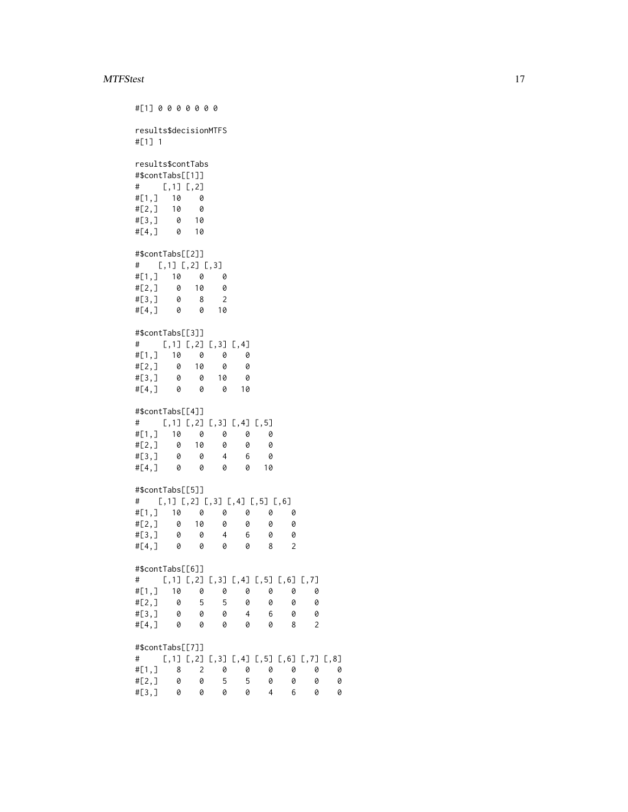#### MTFStest 17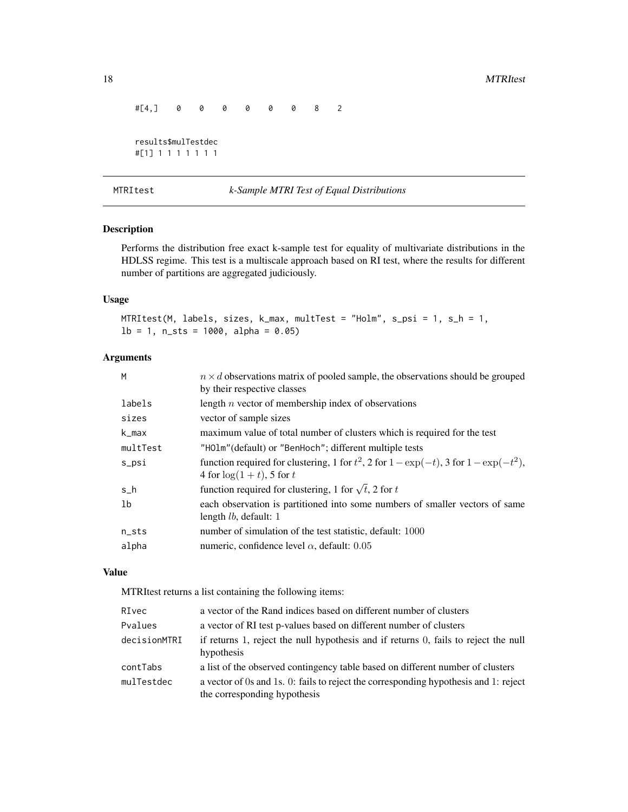```
#[4,] 0 0 0 0 0 0 8 2
results$mulTestdec
#[1] 1 1 1 1 1 1 1
```
MTRItest *k-Sample MTRI Test of Equal Distributions*

# Description

Performs the distribution free exact k-sample test for equality of multivariate distributions in the HDLSS regime. This test is a multiscale approach based on RI test, where the results for different number of partitions are aggregated judiciously.

# Usage

MTRItest(M, labels, sizes, k\_max, multTest = "Holm", s\_psi = 1, s\_h = 1,  $lb = 1$ , n\_sts = 1000, alpha = 0.05)

# Arguments

| $n \times d$ observations matrix of pooled sample, the observations should be grouped<br>by their respective classes           |
|--------------------------------------------------------------------------------------------------------------------------------|
| length $n$ vector of membership index of observations                                                                          |
| vector of sample sizes                                                                                                         |
| maximum value of total number of clusters which is required for the test                                                       |
| "HOlm" (default) or "BenHoch"; different multiple tests                                                                        |
| function required for clustering, 1 for $t^2$ , 2 for $1 - \exp(-t)$ , 3 for $1 - \exp(-t^2)$ ,<br>4 for $\log(1+t)$ , 5 for t |
| function required for clustering, 1 for $\sqrt{t}$ , 2 for t                                                                   |
| each observation is partitioned into some numbers of smaller vectors of same<br>length $lb$ , default: 1                       |
| number of simulation of the test statistic, default: 1000                                                                      |
| numeric, confidence level $\alpha$ , default: 0.05                                                                             |
|                                                                                                                                |

#### Value

MTRItest returns a list containing the following items:

| RIvec        | a vector of the Rand indices based on different number of clusters                                                   |
|--------------|----------------------------------------------------------------------------------------------------------------------|
| Pvalues      | a vector of RI test p-values based on different number of clusters                                                   |
| decisionMTRI | if returns 1, reject the null hypothesis and if returns 0, fails to reject the null<br>hypothesis                    |
| contTabs     | a list of the observed contingency table based on different number of clusters                                       |
| mulTestdec   | a vector of 0s and 1s. 0: fails to reject the corresponding hypothesis and 1: reject<br>the corresponding hypothesis |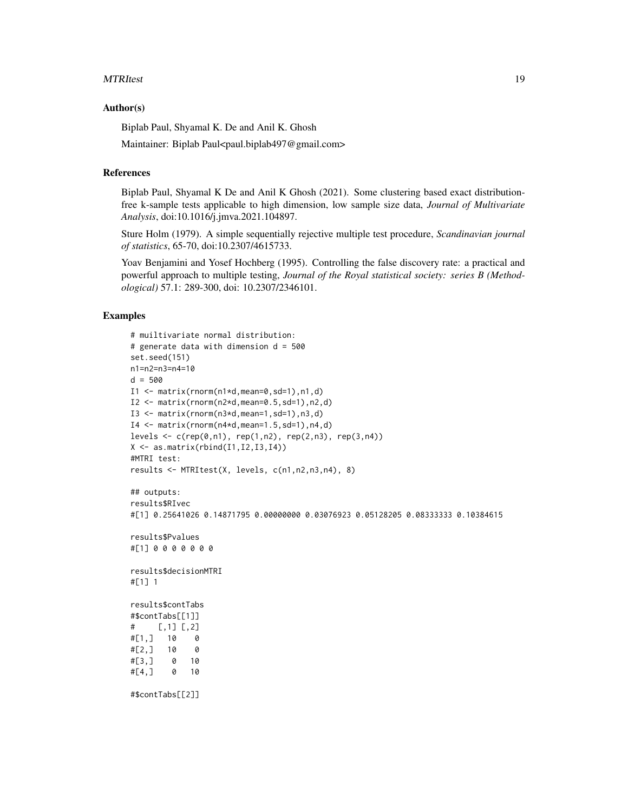#### MTRItest 2012 and 2012 and 2012 and 2012 and 2012 and 2012 and 2012 and 2012 and 2012 and 2013 and 2013 and 20

#### Author(s)

Biplab Paul, Shyamal K. De and Anil K. Ghosh

Maintainer: Biplab Paul<paul.biplab497@gmail.com>

#### References

Biplab Paul, Shyamal K De and Anil K Ghosh (2021). Some clustering based exact distributionfree k-sample tests applicable to high dimension, low sample size data, *Journal of Multivariate Analysis*, doi:10.1016/j.jmva.2021.104897.

Sture Holm (1979). A simple sequentially rejective multiple test procedure, *Scandinavian journal of statistics*, 65-70, doi:10.2307/4615733.

Yoav Benjamini and Yosef Hochberg (1995). Controlling the false discovery rate: a practical and powerful approach to multiple testing, *Journal of the Royal statistical society: series B (Methodological)* 57.1: 289-300, doi: 10.2307/2346101.

```
# muiltivariate normal distribution:
# generate data with dimension d = 500
set.seed(151)
n1=n2=n3=n4=10
d = 500I1 \leftarrow matrix(rnorm(n1*d,mean=0, sd=1),n1,d)I2 \leq matrix(rnorm(n2*d,mean=0.5,sd=1),n2,d)
I3 \leq matrix(rnorm(n3*d,mean=1,sd=1),n3,d)
I4 \leq matrix(rnorm(n4*d,mean=1.5,sd=1),n4,d)
levels <- c(rep(\theta, n1), rep(1, n2), rep(2, n3), rep(3, n4))X \leftarrow \text{as_matrix}(\text{rbind}(I1, I2, I3, I4))#MTRI test:
results <- MTRItest(X, levels, c(n1,n2,n3,n4), 8)
## outputs:
results$RIvec
#[1] 0.25641026 0.14871795 0.00000000 0.03076923 0.05128205 0.08333333 0.10384615
results$Pvalues
#[1] 0 0 0 0 0 0 0
results$decisionMTRI
#[1] 1
results$contTabs
#$contTabs[[1]]
# [,1] [,2]
#[1,] 10 0
#[2,] 10 0
#[3,] 0 10
#[4,] 0 10
#$contTabs[[2]]
```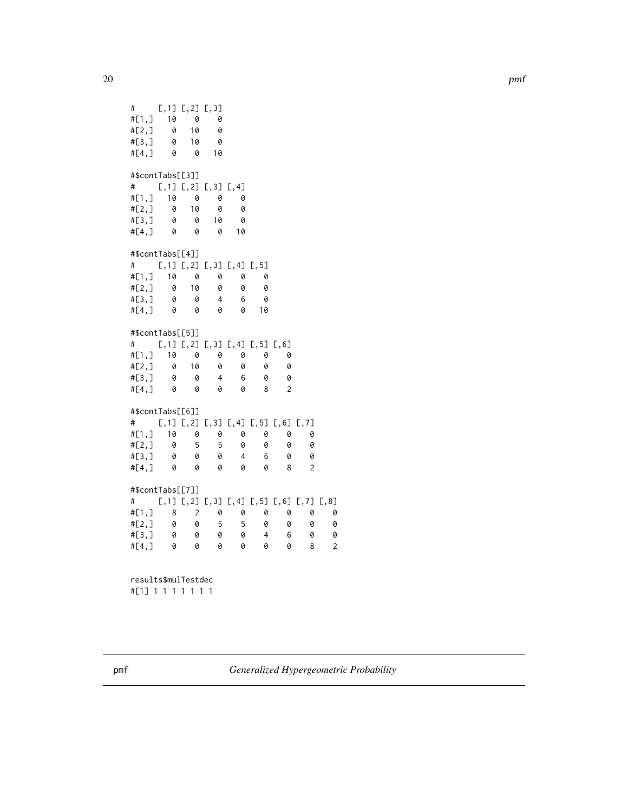```
# [, 1] [, 2] [, 3]
#[1,] 10 0 0
#[2,] 0 10 0<br>#[3,] 0 10 0
#[3,] 0 10 0
#[4,] 0 0 10
#$contTabs[[3]]
# [,1] [,2] [,3] [,4]
#[1,] 10 0 0 0
#[2,] 0 10 0 0
#[3,] 0 0 10 0
      0 0 0 10
#$contTabs[[4]]
# [,1] [,2] [,3] [,4] [,5]
#[1, 1 10 0 0 0 0 0<br>#[2, 1 0 10 0 0 0 0#[2,] 0 10
#[3,] 0 0 4 6 0
      0 0 0 0 10
#$contTabs[[5]]
# [,1] [,2] [,3] [,4] [,5] [,6]
#[1,] 10 0 0 0 0 0
#[2,] 0 10 0 0 0 0
#[3,] 0 0 4 6 0 0
#[4,] 0 0 0 0 8 2
#$contTabs[[6]]
# [,1] [,2] [,3] [,4] [,5] [,6] [,7]
#[1,] 10 0 0 0 0 0 0
#[2, 1 \ 0 \ 5 \ 5 \ 0 \ 0 \ 0 \ 0<br>#[3, 1 \ 0 \ 0 \ 0 \ 4 \ 6 \ 0 \ 0#[3,] 0 0 0 4 6 0 0
#[4,] 0 0 0 0 0 8 2
#$contTabs[[7]]
# [,1] [,2] [,3] [,4] [,5] [,6] [,7] [,8]
#[1,] 8 2 0 0 0 0 0 0
#[2,] 0 0 5 5 0 0 0 0
#[3,] 0 0 0 0 4 6 0 0
#[4,] 0 0 0 0 0 0 8 2
results$mulTestdec
#[1] 1 1 1 1 1 1 1
```
pmf *Generalized Hypergeometric Probability*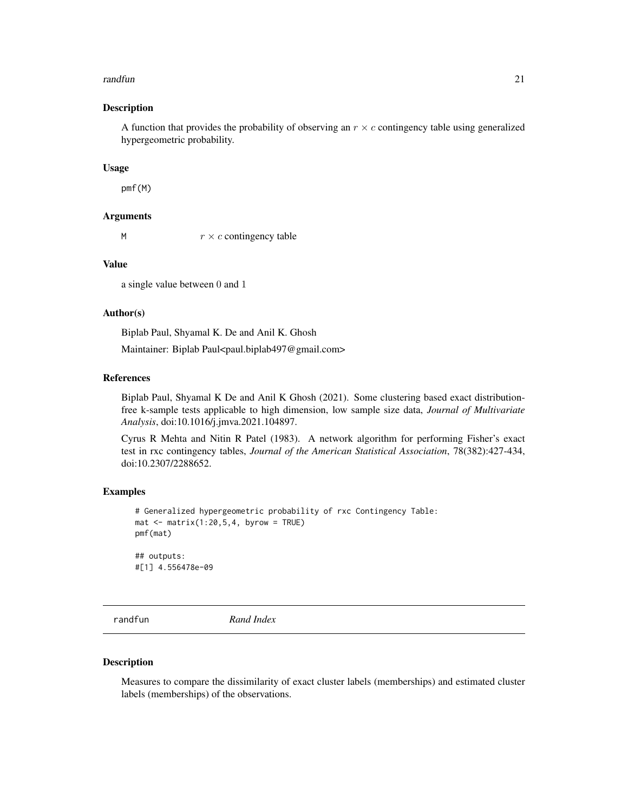#### <span id="page-20-0"></span>randfun 21 bis 2012 and 21 bis 2012 and 21 bis 2012 and 21 bis 2013 and 21 bis 2013 and 21 bis 2013 and 21 bis 2013 and 21 bis 2013 and 21 bis 2013 and 21 bis 2013 and 21 bis 2013 and 2013 and 2013 and 2013 and 2013 and 20

#### Description

A function that provides the probability of observing an  $r \times c$  contingency table using generalized hypergeometric probability.

#### Usage

pmf(M)

#### Arguments

M  $r \times c$  contingency table

# Value

a single value between 0 and 1

# Author(s)

Biplab Paul, Shyamal K. De and Anil K. Ghosh

Maintainer: Biplab Paul<paul.biplab497@gmail.com>

# References

Biplab Paul, Shyamal K De and Anil K Ghosh (2021). Some clustering based exact distributionfree k-sample tests applicable to high dimension, low sample size data, *Journal of Multivariate Analysis*, doi:10.1016/j.jmva.2021.104897.

Cyrus R Mehta and Nitin R Patel (1983). A network algorithm for performing Fisher's exact test in rxc contingency tables, *Journal of the American Statistical Association*, 78(382):427-434, doi:10.2307/2288652.

#### Examples

```
# Generalized hypergeometric probability of rxc Contingency Table:
mat \leq matrix(1:20,5,4, byrow = TRUE)
pmf(mat)
## outputs:
```
#[1] 4.556478e-09

randfun *Rand Index*

#### Description

Measures to compare the dissimilarity of exact cluster labels (memberships) and estimated cluster labels (memberships) of the observations.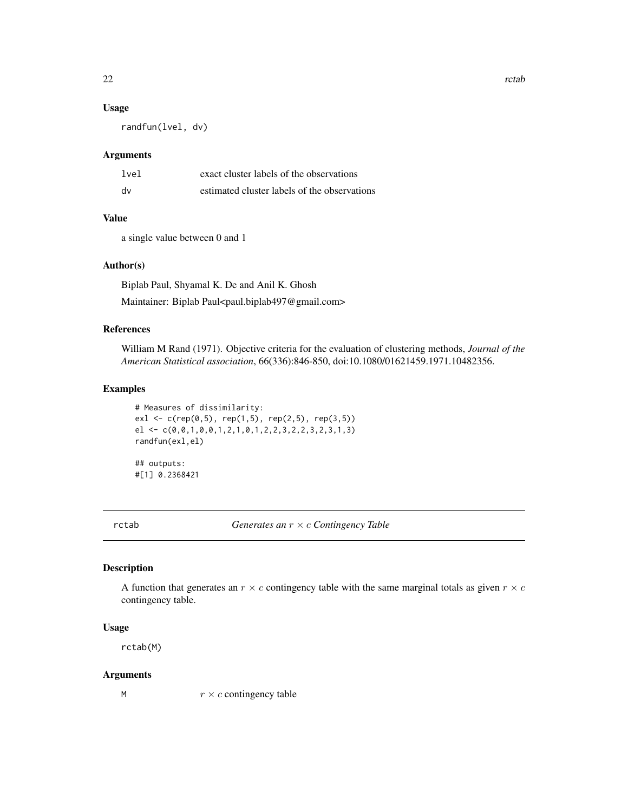### <span id="page-21-0"></span>Usage

randfun(lvel, dv)

# Arguments

| lvel | exact cluster labels of the observations     |
|------|----------------------------------------------|
| dv   | estimated cluster labels of the observations |

# Value

a single value between 0 and 1

# Author(s)

Biplab Paul, Shyamal K. De and Anil K. Ghosh Maintainer: Biplab Paul<paul.biplab497@gmail.com>

### References

William M Rand (1971). Objective criteria for the evaluation of clustering methods, *Journal of the American Statistical association*, 66(336):846-850, doi:10.1080/01621459.1971.10482356.

# Examples

```
# Measures of dissimilarity:
ex1 \leq c(rep(0,5), rep(1,5), rep(2,5), rep(3,5))
el \leq c(0,0,1,0,0,1,2,1,0,1,2,2,3,2,2,3,2,3,1,3)
randfun(exl,el)
```
## outputs: #[1] 0.2368421

rctab *Generates an* r × c *Contingency Table*

# Description

A function that generates an  $r \times c$  contingency table with the same marginal totals as given  $r \times c$ contingency table.

# Usage

rctab(M)

# Arguments

M  $r \times c$  contingency table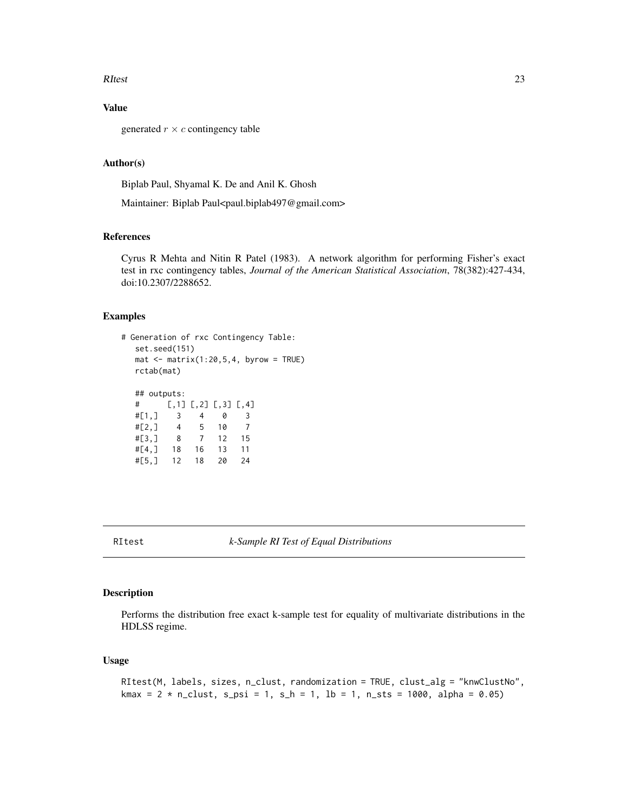#### <span id="page-22-0"></span>RItest 23

# Value

generated  $r \times c$  contingency table

# Author(s)

Biplab Paul, Shyamal K. De and Anil K. Ghosh

Maintainer: Biplab Paul<paul.biplab497@gmail.com>

# References

Cyrus R Mehta and Nitin R Patel (1983). A network algorithm for performing Fisher's exact test in rxc contingency tables, *Journal of the American Statistical Association*, 78(382):427-434, doi:10.2307/2288652.

#### Examples

```
# Generation of rxc Contingency Table:
  set.seed(151)
  mat \leq matrix(1:20,5,4, byrow = TRUE)
  rctab(mat)
  ## outputs:
  # [,1] [,2] [,3] [,4]
  #[1,] 3 4 0 3
  #[2,] 4 5 10 7
  #[3,] 8 7 12 15
  #[4,] 18 16 13 11
  #[5,] 12 18 20 24
```
# Description

Performs the distribution free exact k-sample test for equality of multivariate distributions in the HDLSS regime.

#### Usage

```
RItest(M, labels, sizes, n_clust, randomization = TRUE, clust_alg = "knwClustNo",
kmax = 2 * n_{clust}, s_{psi} = 1, s_h = 1, lb = 1, n_{sts} = 1000, alpha = 0.05)
```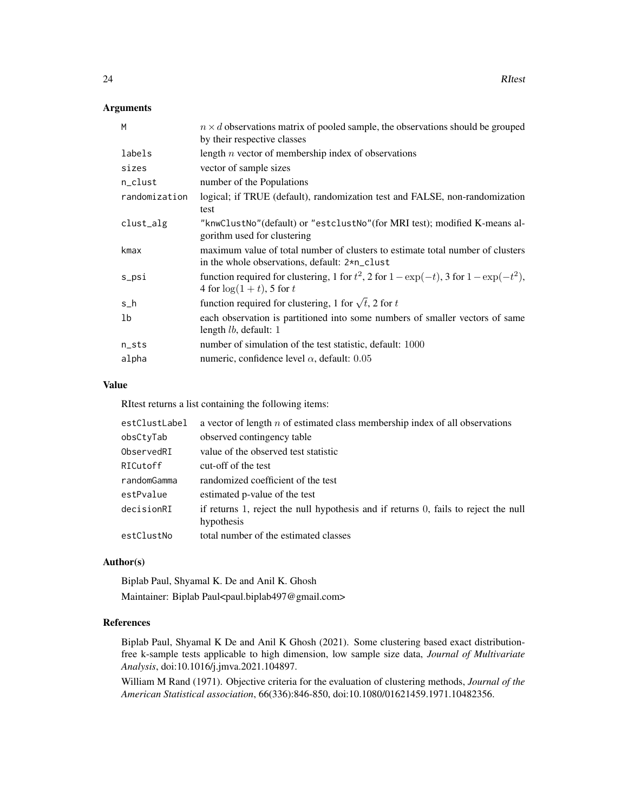# Arguments

| M             | $n \times d$ observations matrix of pooled sample, the observations should be grouped                                           |
|---------------|---------------------------------------------------------------------------------------------------------------------------------|
|               | by their respective classes                                                                                                     |
| labels        | length $n$ vector of membership index of observations                                                                           |
| sizes         | vector of sample sizes                                                                                                          |
| n_clust       | number of the Populations                                                                                                       |
| randomization | logical; if TRUE (default), randomization test and FALSE, non-randomization                                                     |
|               | test                                                                                                                            |
| clust_alg     | "knwClustNo" (default) or "estclustNo" (for MRI test); modified K-means al-<br>gorithm used for clustering                      |
| kmax          | maximum value of total number of clusters to estimate total number of clusters<br>in the whole observations, default: 2*n_clust |
| s_psi         | function required for clustering, 1 for $t^2$ , 2 for $1 - \exp(-t)$ , 3 for $1 - \exp(-t^2)$ ,<br>4 for $\log(1+t)$ , 5 for t  |
| $s_h$         | function required for clustering, 1 for $\sqrt{t}$ , 2 for t                                                                    |
| 1b            | each observation is partitioned into some numbers of smaller vectors of same                                                    |
|               | length <i>lb</i> , default: 1                                                                                                   |
| n_sts         | number of simulation of the test statistic, default: 1000                                                                       |
| alpha         | numeric, confidence level $\alpha$ , default: 0.05                                                                              |

# Value

RItest returns a list containing the following items:

| estClustLabel | a vector of length $n$ of estimated class membership index of all observations                    |
|---------------|---------------------------------------------------------------------------------------------------|
| obsCtyTab     | observed contingency table                                                                        |
| ObservedRI    | value of the observed test statistic                                                              |
| RICutoff      | cut-off of the test                                                                               |
| randomGamma   | randomized coefficient of the test                                                                |
| estPvalue     | estimated p-value of the test                                                                     |
| decisionRI    | if returns 1, reject the null hypothesis and if returns 0, fails to reject the null<br>hypothesis |
| estClustNo    | total number of the estimated classes                                                             |

# Author(s)

Biplab Paul, Shyamal K. De and Anil K. Ghosh Maintainer: Biplab Paul<paul.biplab497@gmail.com>

# References

Biplab Paul, Shyamal K De and Anil K Ghosh (2021). Some clustering based exact distributionfree k-sample tests applicable to high dimension, low sample size data, *Journal of Multivariate Analysis*, doi:10.1016/j.jmva.2021.104897.

William M Rand (1971). Objective criteria for the evaluation of clustering methods, *Journal of the American Statistical association*, 66(336):846-850, doi:10.1080/01621459.1971.10482356.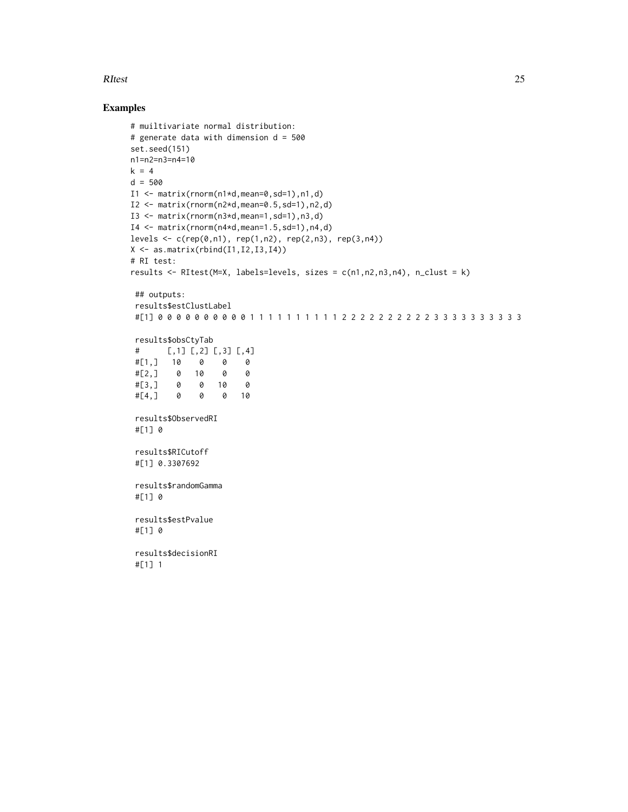#### RItest 25

```
# muiltivariate normal distribution:
# generate data with dimension d = 500
set.seed(151)
n1=n2=n3=n4=10
k = 4d = 500I1 <- matrix(rnorm(n1*d,mean=0,sd=1),n1,d)
I2 \leq matrix(rnorm(n2*d,mean=0.5,sd=1),n2,d)
I3 \leq matrix(rnorm(n3*d,mean=1,sd=1),n3,d)
I4 \leftarrow matrix(rnorm(n4*d,mean=1.5,sd=1),n4,d)levels <- c(rep(\theta, n1), rep(1, n2), rep(2, n3), rep(3, n4))X \leftarrow \text{as_matrix}(\text{rbind}(I1, I2, I3, I4))# RI test:
results <- RItest(M=X, labels=levels, sizes = c(n1,n2,n3,n4), n_clust = k)
 ## outputs:
 results$estClustLabel
 #[1] 0 0 0 0 0 0 0 0 0 0 1 1 1 1 1 1 1 1 1 1 2 2 2 2 2 2 2 2 2 2 3 3 3 3 3 3 3 3 3 3
 results$obsCtyTab
 # [,1] [,2] [,3] [,4]
 #[1,] 10 0 0 0
 #[2,] 0 10 0 0
 #[3,] 0 0 10 0
 #[4,] 0 0 0 10
 results$ObservedRI
 #[1] 0
 results$RICutoff
 #[1] 0.3307692
 results$randomGamma
 #[1] 0
 results$estPvalue
 #[1] 0
 results$decisionRI
 #[1] 1
```